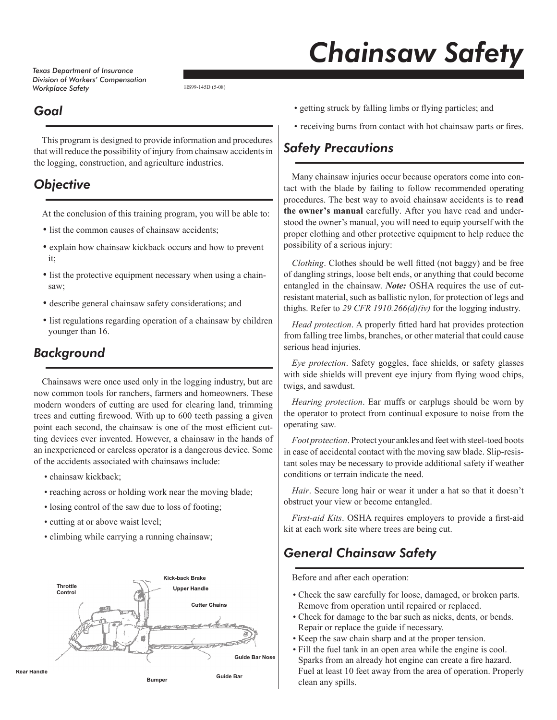*Texas Department of Insurance Division of Workers' Compensation Workplace Safety*

# *Chainsaw Safety*

HS99-145D (5-08)

#### *Goal*

This program is designed to provide information and procedures that will reduce the possibility of injury from chainsaw accidents in the logging, construction, and agriculture industries.

# *Objective*

At the conclusion of this training program, you will be able to:

- list the common causes of chainsaw accidents;
- explain how chainsaw kickback occurs and how to prevent it;
- list the protective equipment necessary when using a chainsaw;
- describe general chainsaw safety considerations; and
- list regulations regarding operation of a chainsaw by children younger than 16.

### *Background*

Chainsaws were once used only in the logging industry, but are now common tools for ranchers, farmers and homeowners. These modern wonders of cutting are used for clearing land, trimming trees and cutting firewood. With up to 600 teeth passing a given point each second, the chainsaw is one of the most efficient cutting devices ever invented. However, a chainsaw in the hands of an inexperienced or careless operator is a dangerous device. Some of the accidents associated with chainsaws include:

- chainsaw kickback;
- reaching across or holding work near the moving blade;
- losing control of the saw due to loss of footing;
- cutting at or above waist level;
- climbing while carrying a running chainsaw;



- getting struck by falling limbs or flying particles; and
- receiving burns from contact with hot chainsaw parts or fires.

### *Safety Precautions*

Many chainsaw injuries occur because operators come into contact with the blade by failing to follow recommended operating procedures. The best way to avoid chainsaw accidents is to **read the owner's manual** carefully. After you have read and understood the owner's manual, you will need to equip yourself with the proper clothing and other protective equipment to help reduce the possibility of a serious injury:

*Clothing*. Clothes should be well fitted (not baggy) and be free of dangling strings, loose belt ends, or anything that could become entangled in the chainsaw. *Note:* OSHA requires the use of cutresistant material, such as ballistic nylon, for protection of legs and thighs. Refer to *29 CFR 1910.266(d)(iv)* for the logging industry.

Head protection. A properly fitted hard hat provides protection from falling tree limbs, branches, or other material that could cause serious head injuries.

*Eye protection*. Safety goggles, face shields, or safety glasses with side shields will prevent eye injury from flying wood chips, twigs, and sawdust.

*Hearing protection*. Ear muffs or earplugs should be worn by the operator to protect from continual exposure to noise from the operating saw.

*Foot protection*. Protect your ankles and feet with steel-toed boots in case of accidental contact with the moving saw blade. Slip-resistant soles may be necessary to provide additional safety if weather conditions or terrain indicate the need.

*Hair*. Secure long hair or wear it under a hat so that it doesn't obstruct your view or become entangled.

*First-aid Kits*. OSHA requires employers to provide a first-aid kit at each work site where trees are being cut.

# *General Chainsaw Safety*

Before and after each operation:

- Check the saw carefully for loose, damaged, or broken parts. Remove from operation until repaired or replaced.
- Check for damage to the bar such as nicks, dents, or bends. Repair or replace the guide if necessary.
- Keep the saw chain sharp and at the proper tension.
- Fill the fuel tank in an open area while the engine is cool. Sparks from an already hot engine can create a fire hazard. Fuel at least 10 feet away from the area of operation. Properly clean any spills.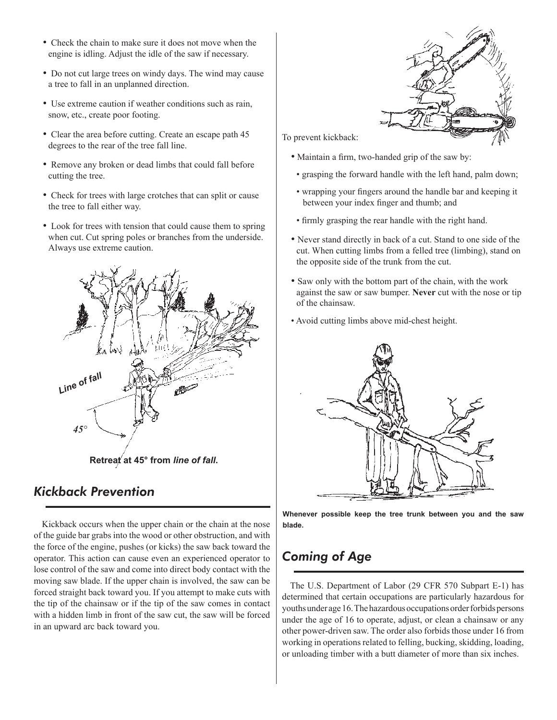- Check the chain to make sure it does not move when the engine is idling. Adjust the idle of the saw if necessary.
- Do not cut large trees on windy days. The wind may cause a tree to fall in an unplanned direction.
- Use extreme caution if weather conditions such as rain, snow, etc., create poor footing.
- Clear the area before cutting. Create an escape path 45 degrees to the rear of the tree fall line.
- Remove any broken or dead limbs that could fall before cutting the tree.
- Check for trees with large crotches that can split or cause the tree to fall either way.
- Look for trees with tension that could cause them to spring when cut. Cut spring poles or branches from the underside. Always use extreme caution.



**Retreat at 45° from** *line of fall***.**

#### *Kickback Prevention*

Kickback occurs when the upper chain or the chain at the nose of the guide bar grabs into the wood or other obstruction, and with the force of the engine, pushes (or kicks) the saw back toward the operator. This action can cause even an experienced operator to lose control of the saw and come into direct body contact with the moving saw blade. If the upper chain is involved, the saw can be forced straight back toward you. If you attempt to make cuts with the tip of the chainsaw or if the tip of the saw comes in contact with a hidden limb in front of the saw cut, the saw will be forced in an upward arc back toward you.



To prevent kickback:

- Maintain a firm, two-handed grip of the saw by:
	- grasping the forward handle with the left hand, palm down;
- wrapping your fingers around the handle bar and keeping it between your index finger and thumb; and
- firmly grasping the rear handle with the right hand.
- Never stand directly in back of a cut. Stand to one side of the cut. When cutting limbs from a felled tree (limbing), stand on the opposite side of the trunk from the cut.
- Saw only with the bottom part of the chain, with the work against the saw or saw bumper. **Never** cut with the nose or tip of the chainsaw.
- Avoid cutting limbs above mid-chest height.



**Whenever possible keep the tree trunk between you and the saw blade.**

# *Coming of Age*

The U.S. Department of Labor (29 CFR 570 Subpart E-1) has determined that certain occupations are particularly hazardous for youths under age 16. The hazardous occupations order forbids persons under the age of 16 to operate, adjust, or clean a chainsaw or any other power-driven saw. The order also forbids those under 16 from working in operations related to felling, bucking, skidding, loading, or unloading timber with a butt diameter of more than six inches.